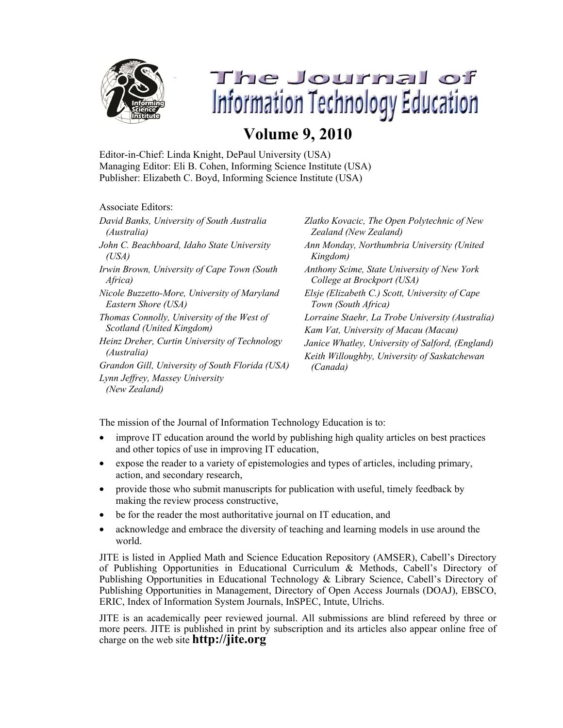

The Journal of **Information Technology Education** 

## **Volume 9, 2010**

Editor-in-Chief: Linda Knight, DePaul University (USA) Managing Editor: Eli B. Cohen, Informing Science Institute (USA) Publisher: Elizabeth C. Boyd, Informing Science Institute (USA)

Associate Editors:

| David Banks, University of South Australia       | Zlatko Kovacic, The Open Polytechnic of New      |
|--------------------------------------------------|--------------------------------------------------|
| (Australia)                                      | Zealand (New Zealand)                            |
| John C. Beachboard, Idaho State University       | Ann Monday, Northumbria University (United       |
| (USA)                                            | Kingdom)                                         |
| Irwin Brown, University of Cape Town (South      | Anthony Scime, State University of New York      |
| <i>Africa</i> )                                  | College at Brockport (USA)                       |
| Nicole Buzzetto-More, University of Maryland     | Elsie (Elizabeth C.) Scott, University of Cape   |
| Eastern Shore (USA)                              | Town (South Africa)                              |
| Thomas Connolly, University of the West of       | Lorraine Staehr, La Trobe University (Australia) |
| Scotland (United Kingdom)                        | Kam Vat, University of Macau (Macau)             |
| Heinz Dreher, Curtin University of Technology    | Janice Whatley, University of Salford, (England) |
| (Australia)                                      | Keith Willoughby, University of Saskatchewan     |
| Grandon Gill, University of South Florida (USA)  | (Canada)                                         |
| Lynn Jeffrey, Massey University<br>(New Zealand) |                                                  |

The mission of the Journal of Information Technology Education is to:

- improve IT education around the world by publishing high quality articles on best practices and other topics of use in improving IT education,
- expose the reader to a variety of epistemologies and types of articles, including primary, action, and secondary research,
- provide those who submit manuscripts for publication with useful, timely feedback by making the review process constructive,
- be for the reader the most authoritative journal on IT education, and
- acknowledge and embrace the diversity of teaching and learning models in use around the world.

JITE is listed in Applied Math and Science Education Repository (AMSER), Cabell's Directory of Publishing Opportunities in Educational Curriculum & Methods, Cabell's Directory of Publishing Opportunities in Educational Technology & Library Science, Cabell's Directory of Publishing Opportunities in Management, Directory of Open Access Journals (DOAJ), EBSCO, ERIC, Index of Information System Journals, InSPEC, Intute, Ulrichs.

JITE is an academically peer reviewed journal. All submissions are blind refereed by three or more peers. JITE is published in print by subscription and its articles also appear online free of charge on the web site **http://jite.org**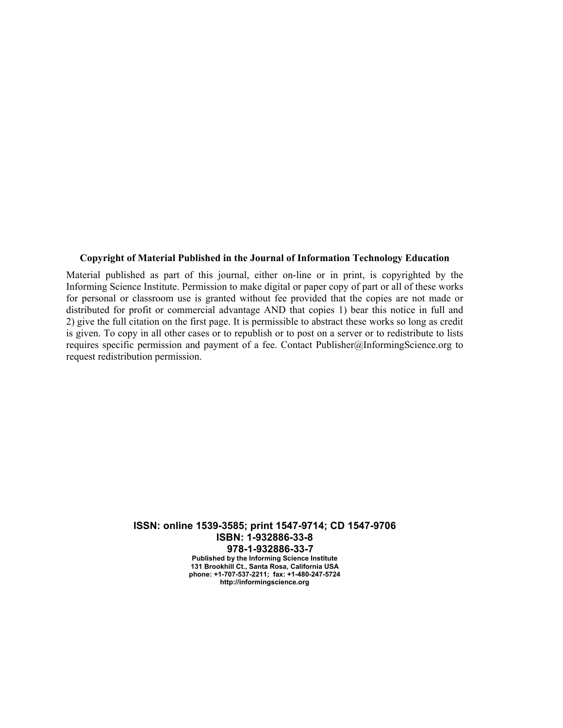## **Copyright of Material Published in the Journal of Information Technology Education**

Material published as part of this journal, either on-line or in print, is copyrighted by the Informing Science Institute. Permission to make digital or paper copy of part or all of these works for personal or classroom use is granted without fee provided that the copies are not made or distributed for profit or commercial advantage AND that copies 1) bear this notice in full and 2) give the full citation on the first page. It is permissible to abstract these works so long as credit is given. To copy in all other cases or to republish or to post on a server or to redistribute to lists requires specific permission and payment of a fee. Contact Publisher@InformingScience.org to request redistribution permission.

> **ISSN: online 1539-3585; print 1547-9714; CD 1547-9706 ISBN: 1-932886-33-8 978-1-932886-33-7 Published by the Informing Science Institute 131 Brookhill Ct., Santa Rosa, California USA phone: +1-707-537-2211; fax: +1-480-247-5724 http://informingscience.org**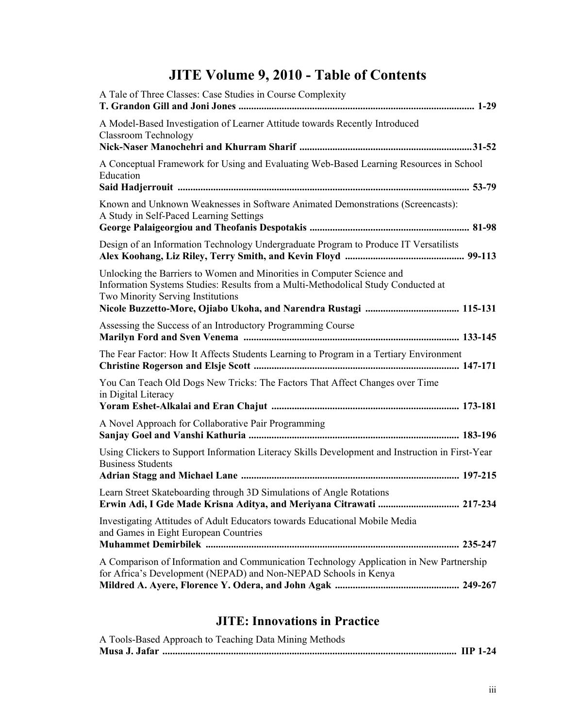## **JITE Volume 9, 2010 - Table of Contents**

| A Tale of Three Classes: Case Studies in Course Complexity                                                                                                                                       |
|--------------------------------------------------------------------------------------------------------------------------------------------------------------------------------------------------|
| A Model-Based Investigation of Learner Attitude towards Recently Introduced<br><b>Classroom Technology</b>                                                                                       |
| A Conceptual Framework for Using and Evaluating Web-Based Learning Resources in School<br>Education                                                                                              |
| Known and Unknown Weaknesses in Software Animated Demonstrations (Screencasts):<br>A Study in Self-Paced Learning Settings                                                                       |
| Design of an Information Technology Undergraduate Program to Produce IT Versatilists                                                                                                             |
| Unlocking the Barriers to Women and Minorities in Computer Science and<br>Information Systems Studies: Results from a Multi-Methodolical Study Conducted at<br>Two Minority Serving Institutions |
| Assessing the Success of an Introductory Programming Course                                                                                                                                      |
| The Fear Factor: How It Affects Students Learning to Program in a Tertiary Environment                                                                                                           |
| You Can Teach Old Dogs New Tricks: The Factors That Affect Changes over Time<br>in Digital Literacy                                                                                              |
| A Novel Approach for Collaborative Pair Programming                                                                                                                                              |
| Using Clickers to Support Information Literacy Skills Development and Instruction in First-Year<br><b>Business Students</b>                                                                      |
| Learn Street Skateboarding through 3D Simulations of Angle Rotations<br>Erwin Adi, I Gde Made Krisna Aditya, and Meriyana Citrawati  217-234                                                     |
| Investigating Attitudes of Adult Educators towards Educational Mobile Media<br>and Games in Eight European Countries                                                                             |
| A Comparison of Information and Communication Technology Application in New Partnership<br>for Africa's Development (NEPAD) and Non-NEPAD Schools in Kenya                                       |
|                                                                                                                                                                                                  |

## **JITE: Innovations in Practice**

| A Tools-Based Approach to Teaching Data Mining Methods |  |
|--------------------------------------------------------|--|
|                                                        |  |